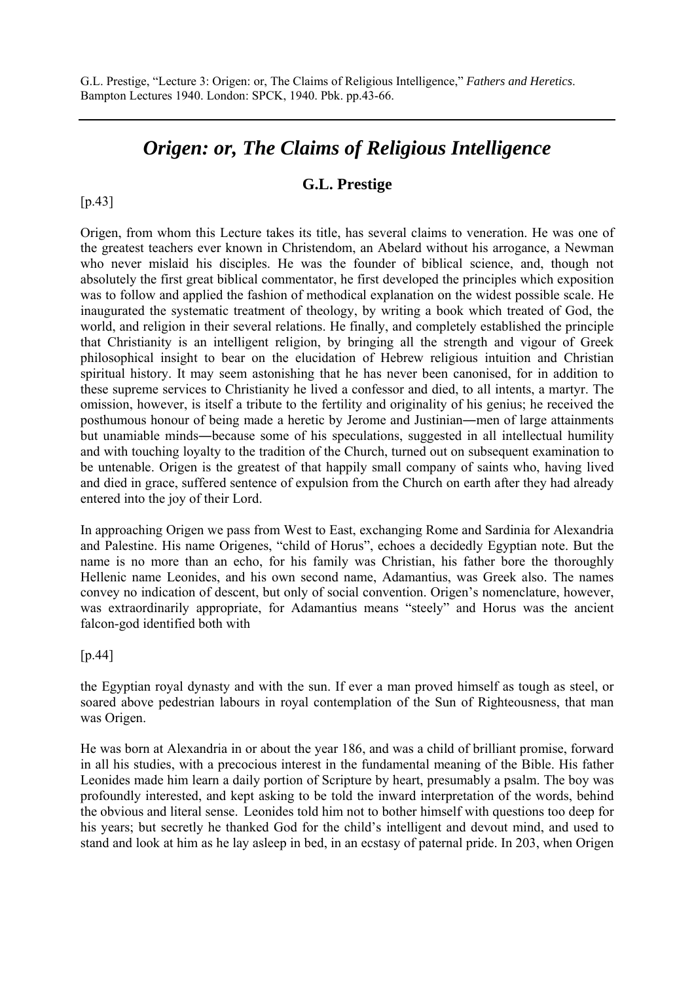# *Origen: or, The Claims of Religious Intelligence*

## **G.L. Prestige**

## $[p.43]$

Origen, from whom this Lecture takes its title, has several claims to veneration. He was one of the greatest teachers ever known in Christendom, an Abelard without his arrogance, a Newman who never mislaid his disciples. He was the founder of biblical science, and, though not absolutely the first great biblical commentator, he first developed the principles which exposition was to follow and applied the fashion of methodical explanation on the widest possible scale. He inaugurated the systematic treatment of theology, by writing a book which treated of God, the world, and religion in their several relations. He finally, and completely established the principle that Christianity is an intelligent religion, by bringing all the strength and vigour of Greek philosophical insight to bear on the elucidation of Hebrew religious intuition and Christian spiritual history. It may seem astonishing that he has never been canonised, for in addition to these supreme services to Christianity he lived a confessor and died, to all intents, a martyr. The omission, however, is itself a tribute to the fertility and originality of his genius; he received the posthumous honour of being made a heretic by Jerome and Justinian―men of large attainments but unamiable minds―because some of his speculations, suggested in all intellectual humility and with touching loyalty to the tradition of the Church, turned out on subsequent examination to be untenable. Origen is the greatest of that happily small company of saints who, having lived and died in grace, suffered sentence of expulsion from the Church on earth after they had already entered into the joy of their Lord.

In approaching Origen we pass from West to East, exchanging Rome and Sardinia for Alexandria and Palestine. His name Origenes, "child of Horus", echoes a decidedly Egyptian note. But the name is no more than an echo, for his family was Christian, his father bore the thoroughly Hellenic name Leonides, and his own second name, Adamantius, was Greek also. The names convey no indication of descent, but only of social convention. Origen's nomenclature, however, was extraordinarily appropriate, for Adamantius means "steely" and Horus was the ancient falcon-god identified both with

[p.44]

the Egyptian royal dynasty and with the sun. If ever a man proved himself as tough as steel, or soared above pedestrian labours in royal contemplation of the Sun of Righteousness, that man was Origen.

He was born at Alexandria in or about the year 186, and was a child of brilliant promise, forward in all his studies, with a precocious interest in the fundamental meaning of the Bible. His father Leonides made him learn a daily portion of Scripture by heart, presumably a psalm. The boy was profoundly interested, and kept asking to be told the inward interpretation of the words, behind the obvious and literal sense. Leonides told him not to bother himself with questions too deep for his years; but secretly he thanked God for the child's intelligent and devout mind, and used to stand and look at him as he lay asleep in bed, in an ecstasy of paternal pride. In 203, when Origen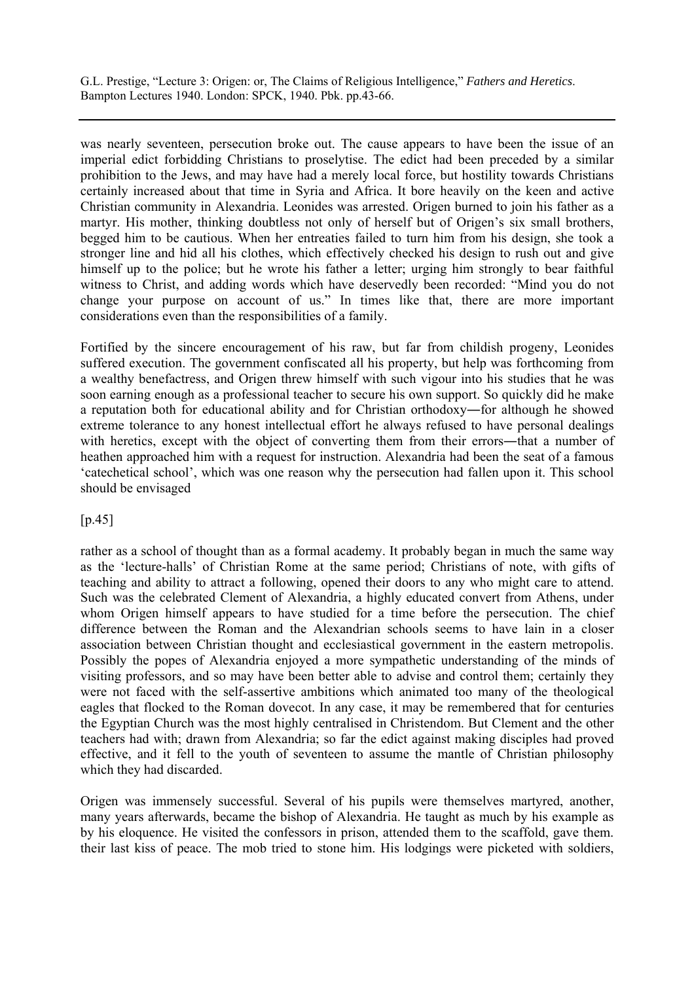was nearly seventeen, persecution broke out. The cause appears to have been the issue of an imperial edict forbidding Christians to proselytise. The edict had been preceded by a similar prohibition to the Jews, and may have had a merely local force, but hostility towards Christians certainly increased about that time in Syria and Africa. It bore heavily on the keen and active Christian community in Alexandria. Leonides was arrested. Origen burned to join his father as a martyr. His mother, thinking doubtless not only of herself but of Origen's six small brothers, begged him to be cautious. When her entreaties failed to turn him from his design, she took a stronger line and hid all his clothes, which effectively checked his design to rush out and give himself up to the police; but he wrote his father a letter; urging him strongly to bear faithful witness to Christ, and adding words which have deservedly been recorded: "Mind you do not change your purpose on account of us." In times like that, there are more important considerations even than the responsibilities of a family.

Fortified by the sincere encouragement of his raw, but far from childish progeny, Leonides suffered execution. The government confiscated all his property, but help was forthcoming from a wealthy benefactress, and Origen threw himself with such vigour into his studies that he was soon earning enough as a professional teacher to secure his own support. So quickly did he make a reputation both for educational ability and for Christian orthodoxy―for although he showed extreme tolerance to any honest intellectual effort he always refused to have personal dealings with heretics, except with the object of converting them from their errors—that a number of heathen approached him with a request for instruction. Alexandria had been the seat of a famous 'catechetical school', which was one reason why the persecution had fallen upon it. This school should be envisaged

## $[p.45]$

rather as a school of thought than as a formal academy. It probably began in much the same way as the 'lecture-halls' of Christian Rome at the same period; Christians of note, with gifts of teaching and ability to attract a following, opened their doors to any who might care to attend. Such was the celebrated Clement of Alexandria, a highly educated convert from Athens, under whom Origen himself appears to have studied for a time before the persecution. The chief difference between the Roman and the Alexandrian schools seems to have lain in a closer association between Christian thought and ecclesiastical government in the eastern metropolis. Possibly the popes of Alexandria enjoyed a more sympathetic understanding of the minds of visiting professors, and so may have been better able to advise and control them; certainly they were not faced with the self-assertive ambitions which animated too many of the theological eagles that flocked to the Roman dovecot. In any case, it may be remembered that for centuries the Egyptian Church was the most highly centralised in Christendom. But Clement and the other teachers had with; drawn from Alexandria; so far the edict against making disciples had proved effective, and it fell to the youth of seventeen to assume the mantle of Christian philosophy which they had discarded.

Origen was immensely successful. Several of his pupils were themselves martyred, another, many years afterwards, became the bishop of Alexandria. He taught as much by his example as by his eloquence. He visited the confessors in prison, attended them to the scaffold, gave them. their last kiss of peace. The mob tried to stone him. His lodgings were picketed with soldiers,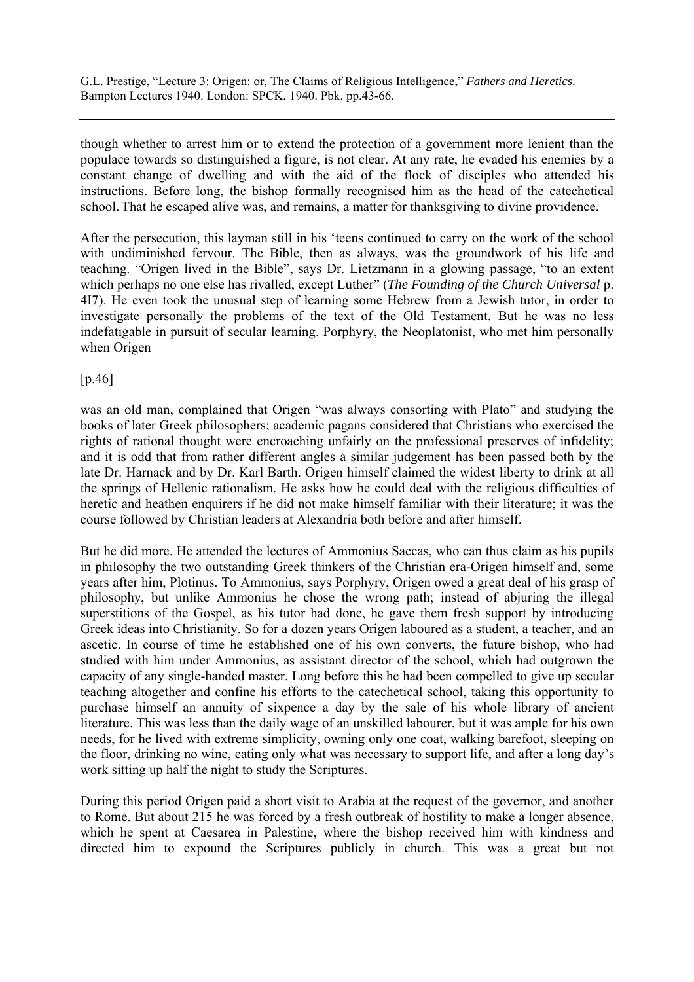though whether to arrest him or to extend the protection of a government more lenient than the populace towards so distinguished a figure, is not clear. At any rate, he evaded his enemies by a constant change of dwelling and with the aid of the flock of disciples who attended his instructions. Before long, the bishop formally recognised him as the head of the catechetical school. That he escaped alive was, and remains, a matter for thanksgiving to divine providence.

After the persecution, this layman still in his 'teens continued to carry on the work of the school with undiminished fervour. The Bible, then as always, was the groundwork of his life and teaching. "Origen lived in the Bible", says Dr. Lietzmann in a glowing passage, "to an extent which perhaps no one else has rivalled, except Luther" (*The Founding of the Church Universal* p. 4I7). He even took the unusual step of learning some Hebrew from a Jewish tutor, in order to investigate personally the problems of the text of the Old Testament. But he was no less indefatigable in pursuit of secular learning. Porphyry, the Neoplatonist, who met him personally when Origen

 $[p.46]$ 

was an old man, complained that Origen "was always consorting with Plato" and studying the books of later Greek philosophers; academic pagans considered that Christians who exercised the rights of rational thought were encroaching unfairly on the professional preserves of infidelity; and it is odd that from rather different angles a similar judgement has been passed both by the late Dr. Harnack and by Dr. Karl Barth. Origen himself claimed the widest liberty to drink at all the springs of Hellenic rationalism. He asks how he could deal with the religious difficulties of heretic and heathen enquirers if he did not make himself familiar with their literature; it was the course followed by Christian leaders at Alexandria both before and after himself.

But he did more. He attended the lectures of Ammonius Saccas, who can thus claim as his pupils in philosophy the two outstanding Greek thinkers of the Christian era-Origen himself and, some years after him, Plotinus. To Ammonius, says Porphyry, Origen owed a great deal of his grasp of philosophy, but unlike Ammonius he chose the wrong path; instead of abjuring the illegal superstitions of the Gospel, as his tutor had done, he gave them fresh support by introducing Greek ideas into Christianity. So for a dozen years Origen laboured as a student, a teacher, and an ascetic. In course of time he established one of his own converts, the future bishop, who had studied with him under Ammonius, as assistant director of the school, which had outgrown the capacity of any single-handed master. Long before this he had been compelled to give up secular teaching altogether and confine his efforts to the catechetical school, taking this opportunity to purchase himself an annuity of sixpence a day by the sale of his whole library of ancient literature. This was less than the daily wage of an unskilled labourer, but it was ample for his own needs, for he lived with extreme simplicity, owning only one coat, walking barefoot, sleeping on the floor, drinking no wine, eating only what was necessary to support life, and after a long day's work sitting up half the night to study the Scriptures.

During this period Origen paid a short visit to Arabia at the request of the governor, and another to Rome. But about 215 he was forced by a fresh outbreak of hostility to make a longer absence, which he spent at Caesarea in Palestine, where the bishop received him with kindness and directed him to expound the Scriptures publicly in church. This was a great but not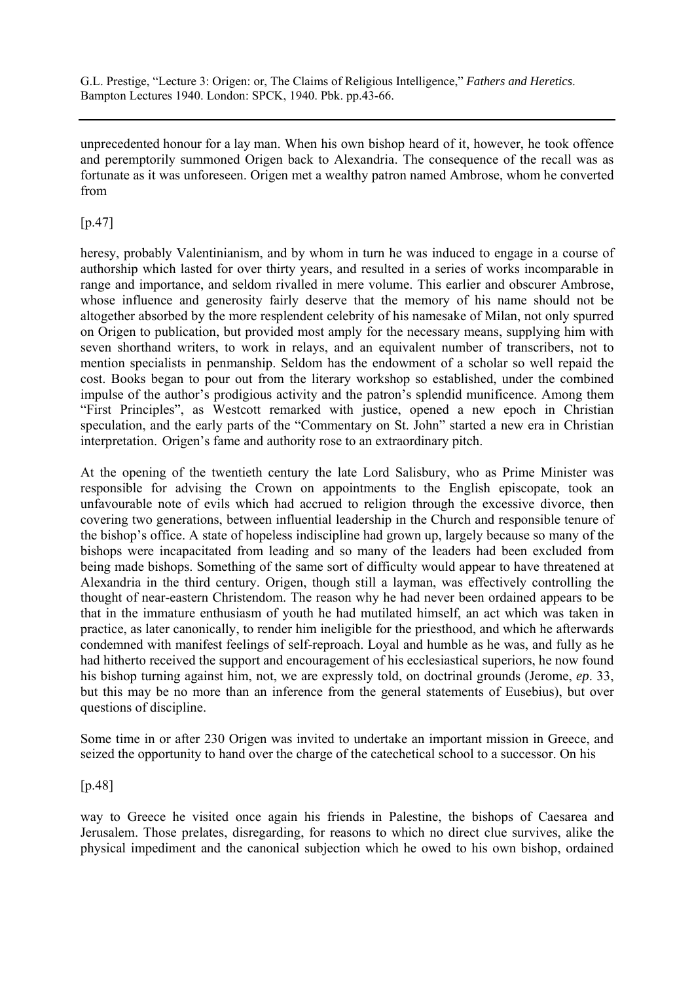unprecedented honour for a lay man. When his own bishop heard of it, however, he took offence and peremptorily summoned Origen back to Alexandria. The consequence of the recall was as fortunate as it was unforeseen. Origen met a wealthy patron named Ambrose, whom he converted from

## [p.47]

heresy, probably Valentinianism, and by whom in turn he was induced to engage in a course of authorship which lasted for over thirty years, and resulted in a series of works incomparable in range and importance, and seldom rivalled in mere volume. This earlier and obscurer Ambrose, whose influence and generosity fairly deserve that the memory of his name should not be altogether absorbed by the more resplendent celebrity of his namesake of Milan, not only spurred on Origen to publication, but provided most amply for the necessary means, supplying him with seven shorthand writers, to work in relays, and an equivalent number of transcribers, not to mention specialists in penmanship. Seldom has the endowment of a scholar so well repaid the cost. Books began to pour out from the literary workshop so established, under the combined impulse of the author's prodigious activity and the patron's splendid munificence. Among them "First Principles", as Westcott remarked with justice, opened a new epoch in Christian speculation, and the early parts of the "Commentary on St. John" started a new era in Christian interpretation. Origen's fame and authority rose to an extraordinary pitch.

At the opening of the twentieth century the late Lord Salisbury, who as Prime Minister was responsible for advising the Crown on appointments to the English episcopate, took an unfavourable note of evils which had accrued to religion through the excessive divorce, then covering two generations, between influential leadership in the Church and responsible tenure of the bishop's office. A state of hopeless indiscipline had grown up, largely because so many of the bishops were incapacitated from leading and so many of the leaders had been excluded from being made bishops. Something of the same sort of difficulty would appear to have threatened at Alexandria in the third century. Origen, though still a layman, was effectively controlling the thought of near-eastern Christendom. The reason why he had never been ordained appears to be that in the immature enthusiasm of youth he had mutilated himself, an act which was taken in practice, as later canonically, to render him ineligible for the priesthood, and which he afterwards condemned with manifest feelings of self-reproach. Loyal and humble as he was, and fully as he had hitherto received the support and encouragement of his ecclesiastical superiors, he now found his bishop turning against him, not, we are expressly told, on doctrinal grounds (Jerome, *ep*. 33, but this may be no more than an inference from the general statements of Eusebius), but over questions of discipline.

Some time in or after 230 Origen was invited to undertake an important mission in Greece, and seized the opportunity to hand over the charge of the catechetical school to a successor. On his

## [p.48]

way to Greece he visited once again his friends in Palestine, the bishops of Caesarea and Jerusalem. Those prelates, disregarding, for reasons to which no direct clue survives, alike the physical impediment and the canonical subjection which he owed to his own bishop, ordained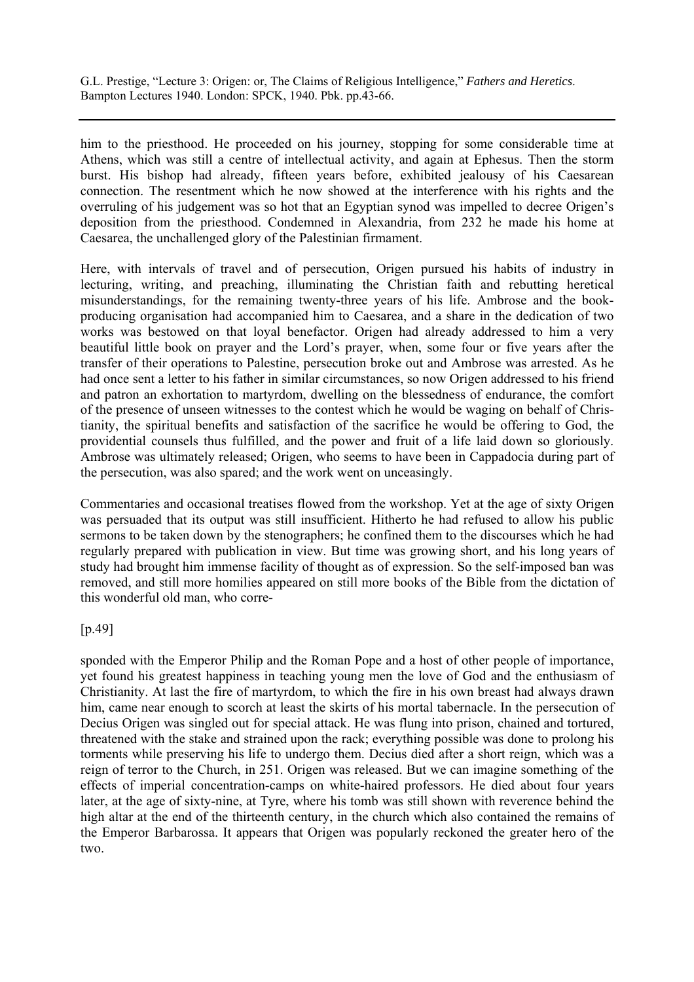him to the priesthood. He proceeded on his journey, stopping for some considerable time at Athens, which was still a centre of intellectual activity, and again at Ephesus. Then the storm burst. His bishop had already, fifteen years before, exhibited jealousy of his Caesarean connection. The resentment which he now showed at the interference with his rights and the overruling of his judgement was so hot that an Egyptian synod was impelled to decree Origen's deposition from the priesthood. Condemned in Alexandria, from 232 he made his home at Caesarea, the unchallenged glory of the Palestinian firmament.

Here, with intervals of travel and of persecution, Origen pursued his habits of industry in lecturing, writing, and preaching, illuminating the Christian faith and rebutting heretical misunderstandings, for the remaining twenty-three years of his life. Ambrose and the bookproducing organisation had accompanied him to Caesarea, and a share in the dedication of two works was bestowed on that loyal benefactor. Origen had already addressed to him a very beautiful little book on prayer and the Lord's prayer, when, some four or five years after the transfer of their operations to Palestine, persecution broke out and Ambrose was arrested. As he had once sent a letter to his father in similar circumstances, so now Origen addressed to his friend and patron an exhortation to martyrdom, dwelling on the blessedness of endurance, the comfort of the presence of unseen witnesses to the contest which he would be waging on behalf of Christianity, the spiritual benefits and satisfaction of the sacrifice he would be offering to God, the providential counsels thus fulfilled, and the power and fruit of a life laid down so gloriously. Ambrose was ultimately released; Origen, who seems to have been in Cappadocia during part of the persecution, was also spared; and the work went on unceasingly.

Commentaries and occasional treatises flowed from the workshop. Yet at the age of sixty Origen was persuaded that its output was still insufficient. Hitherto he had refused to allow his public sermons to be taken down by the stenographers; he confined them to the discourses which he had regularly prepared with publication in view. But time was growing short, and his long years of study had brought him immense facility of thought as of expression. So the self-imposed ban was removed, and still more homilies appeared on still more books of the Bible from the dictation of this wonderful old man, who corre-

## [p.49]

sponded with the Emperor Philip and the Roman Pope and a host of other people of importance, yet found his greatest happiness in teaching young men the love of God and the enthusiasm of Christianity. At last the fire of martyrdom, to which the fire in his own breast had always drawn him, came near enough to scorch at least the skirts of his mortal tabernacle. In the persecution of Decius Origen was singled out for special attack. He was flung into prison, chained and tortured, threatened with the stake and strained upon the rack; everything possible was done to prolong his torments while preserving his life to undergo them. Decius died after a short reign, which was a reign of terror to the Church, in 251. Origen was released. But we can imagine something of the effects of imperial concentration-camps on white-haired professors. He died about four years later, at the age of sixty-nine, at Tyre, where his tomb was still shown with reverence behind the high altar at the end of the thirteenth century, in the church which also contained the remains of the Emperor Barbarossa. It appears that Origen was popularly reckoned the greater hero of the two.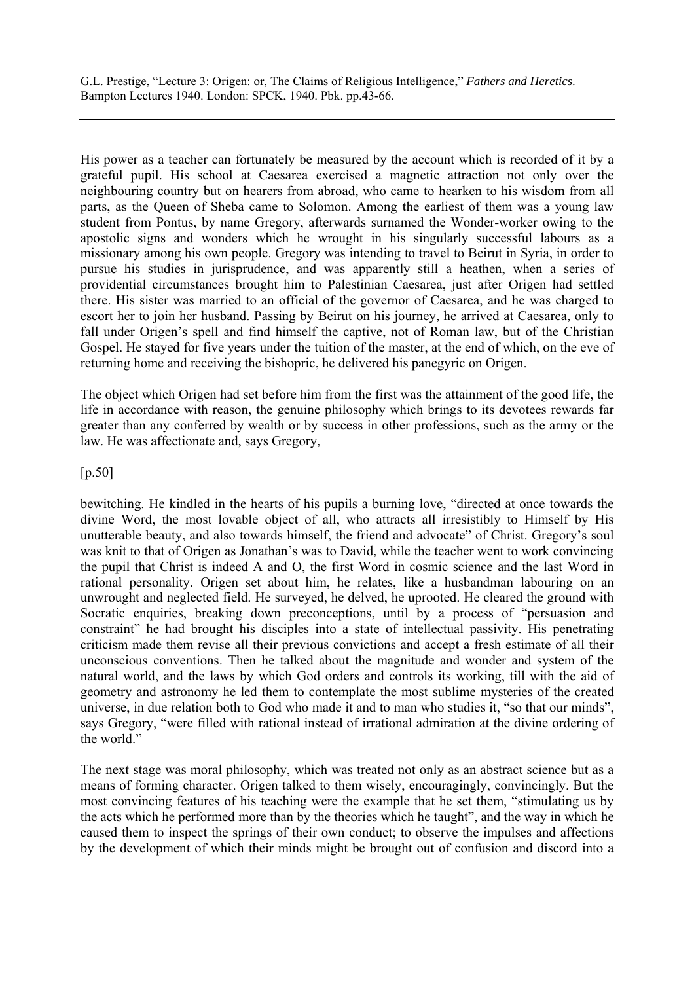His power as a teacher can fortunately be measured by the account which is recorded of it by a grateful pupil. His school at Caesarea exercised a magnetic attraction not only over the neighbouring country but on hearers from abroad, who came to hearken to his wisdom from all parts, as the Queen of Sheba came to Solomon. Among the earliest of them was a young law student from Pontus, by name Gregory, afterwards surnamed the Wonder-worker owing to the apostolic signs and wonders which he wrought in his singularly successful labours as a missionary among his own people. Gregory was intending to travel to Beirut in Syria, in order to pursue his studies in jurisprudence, and was apparently still a heathen, when a series of providential circumstances brought him to Palestinian Caesarea, just after Origen had settled there. His sister was married to an official of the governor of Caesarea, and he was charged to escort her to join her husband. Passing by Beirut on his journey, he arrived at Caesarea, only to fall under Origen's spell and find himself the captive, not of Roman law, but of the Christian Gospel. He stayed for five years under the tuition of the master, at the end of which, on the eve of returning home and receiving the bishopric, he delivered his panegyric on Origen.

The object which Origen had set before him from the first was the attainment of the good life, the life in accordance with reason, the genuine philosophy which brings to its devotees rewards far greater than any conferred by wealth or by success in other professions, such as the army or the law. He was affectionate and, says Gregory,

[p.50]

bewitching. He kindled in the hearts of his pupils a burning love, "directed at once towards the divine Word, the most lovable object of all, who attracts all irresistibly to Himself by His unutterable beauty, and also towards himself, the friend and advocate" of Christ. Gregory's soul was knit to that of Origen as Jonathan's was to David, while the teacher went to work convincing the pupil that Christ is indeed A and O, the first Word in cosmic science and the last Word in rational personality. Origen set about him, he relates, like a husbandman labouring on an unwrought and neglected field. He surveyed, he delved, he uprooted. He cleared the ground with Socratic enquiries, breaking down preconceptions, until by a process of "persuasion and constraint" he had brought his disciples into a state of intellectual passivity. His penetrating criticism made them revise all their previous convictions and accept a fresh estimate of all their unconscious conventions. Then he talked about the magnitude and wonder and system of the natural world, and the laws by which God orders and controls its working, till with the aid of geometry and astronomy he led them to contemplate the most sublime mysteries of the created universe, in due relation both to God who made it and to man who studies it, "so that our minds", says Gregory, "were filled with rational instead of irrational admiration at the divine ordering of the world."

The next stage was moral philosophy, which was treated not only as an abstract science but as a means of forming character. Origen talked to them wisely, encouragingly, convincingly. But the most convincing features of his teaching were the example that he set them, "stimulating us by the acts which he performed more than by the theories which he taught", and the way in which he caused them to inspect the springs of their own conduct; to observe the impulses and affections by the development of which their minds might be brought out of confusion and discord into a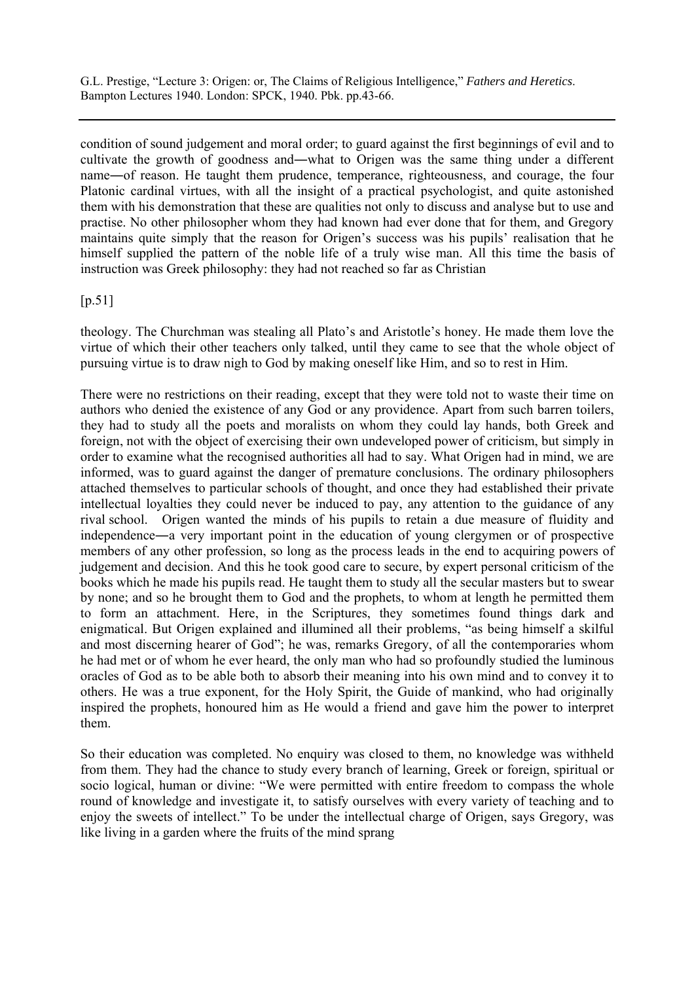condition of sound judgement and moral order; to guard against the first beginnings of evil and to cultivate the growth of goodness and―what to Origen was the same thing under a different name―of reason. He taught them prudence, temperance, righteousness, and courage, the four Platonic cardinal virtues, with all the insight of a practical psychologist, and quite astonished them with his demonstration that these are qualities not only to discuss and analyse but to use and practise. No other philosopher whom they had known had ever done that for them, and Gregory maintains quite simply that the reason for Origen's success was his pupils' realisation that he himself supplied the pattern of the noble life of a truly wise man. All this time the basis of instruction was Greek philosophy: they had not reached so far as Christian

 $[p.51]$ 

theology. The Churchman was stealing all Plato's and Aristotle's honey. He made them love the virtue of which their other teachers only talked, until they came to see that the whole object of pursuing virtue is to draw nigh to God by making oneself like Him, and so to rest in Him.

There were no restrictions on their reading, except that they were told not to waste their time on authors who denied the existence of any God or any providence. Apart from such barren toilers, they had to study all the poets and moralists on whom they could lay hands, both Greek and foreign, not with the object of exercising their own undeveloped power of criticism, but simply in order to examine what the recognised authorities all had to say. What Origen had in mind, we are informed, was to guard against the danger of premature conclusions. The ordinary philosophers attached themselves to particular schools of thought, and once they had established their private intellectual loyalties they could never be induced to pay, any attention to the guidance of any rival school. Origen wanted the minds of his pupils to retain a due measure of fluidity and independence―a very important point in the education of young clergymen or of prospective members of any other profession, so long as the process leads in the end to acquiring powers of judgement and decision. And this he took good care to secure, by expert personal criticism of the books which he made his pupils read. He taught them to study all the secular masters but to swear by none; and so he brought them to God and the prophets, to whom at length he permitted them to form an attachment. Here, in the Scriptures, they sometimes found things dark and enigmatical. But Origen explained and illumined all their problems, "as being himself a skilful and most discerning hearer of God"; he was, remarks Gregory, of all the contemporaries whom he had met or of whom he ever heard, the only man who had so profoundly studied the luminous oracles of God as to be able both to absorb their meaning into his own mind and to convey it to others. He was a true exponent, for the Holy Spirit, the Guide of mankind, who had originally inspired the prophets, honoured him as He would a friend and gave him the power to interpret them.

So their education was completed. No enquiry was closed to them, no knowledge was withheld from them. They had the chance to study every branch of learning, Greek or foreign, spiritual or socio logical, human or divine: "We were permitted with entire freedom to compass the whole round of knowledge and investigate it, to satisfy ourselves with every variety of teaching and to enjoy the sweets of intellect." To be under the intellectual charge of Origen, says Gregory, was like living in a garden where the fruits of the mind sprang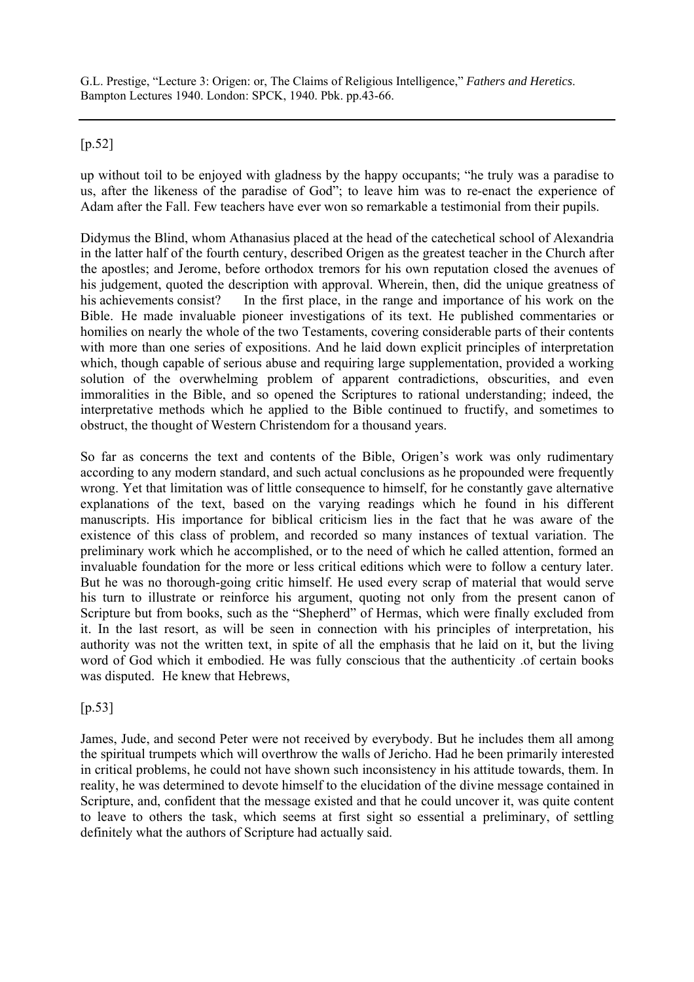## [p.52]

up without toil to be enjoyed with gladness by the happy occupants; "he truly was a paradise to us, after the likeness of the paradise of God"; to leave him was to re-enact the experience of Adam after the Fall. Few teachers have ever won so remarkable a testimonial from their pupils.

Didymus the Blind, whom Athanasius placed at the head of the catechetical school of Alexandria in the latter half of the fourth century, described Origen as the greatest teacher in the Church after the apostles; and Jerome, before orthodox tremors for his own reputation closed the avenues of his judgement, quoted the description with approval. Wherein, then, did the unique greatness of his achievements consist? In the first place, in the range and importance of his work on the Bible. He made invaluable pioneer investigations of its text. He published commentaries or homilies on nearly the whole of the two Testaments, covering considerable parts of their contents with more than one series of expositions. And he laid down explicit principles of interpretation which, though capable of serious abuse and requiring large supplementation, provided a working solution of the overwhelming problem of apparent contradictions, obscurities, and even immoralities in the Bible, and so opened the Scriptures to rational understanding; indeed, the interpretative methods which he applied to the Bible continued to fructify, and sometimes to obstruct, the thought of Western Christendom for a thousand years.

So far as concerns the text and contents of the Bible, Origen's work was only rudimentary according to any modern standard, and such actual conclusions as he propounded were frequently wrong. Yet that limitation was of little consequence to himself, for he constantly gave alternative explanations of the text, based on the varying readings which he found in his different manuscripts. His importance for biblical criticism lies in the fact that he was aware of the existence of this class of problem, and recorded so many instances of textual variation. The preliminary work which he accomplished, or to the need of which he called attention, formed an invaluable foundation for the more or less critical editions which were to follow a century later. But he was no thorough-going critic himself. He used every scrap of material that would serve his turn to illustrate or reinforce his argument, quoting not only from the present canon of Scripture but from books, such as the "Shepherd" of Hermas, which were finally excluded from it. In the last resort, as will be seen in connection with his principles of interpretation, his authority was not the written text, in spite of all the emphasis that he laid on it, but the living word of God which it embodied. He was fully conscious that the authenticity .of certain books was disputed. He knew that Hebrews,

## $[p.53]$

James, Jude, and second Peter were not received by everybody. But he includes them all among the spiritual trumpets which will overthrow the walls of Jericho. Had he been primarily interested in critical problems, he could not have shown such inconsistency in his attitude towards, them. In reality, he was determined to devote himself to the elucidation of the divine message contained in Scripture, and, confident that the message existed and that he could uncover it, was quite content to leave to others the task, which seems at first sight so essential a preliminary, of settling definitely what the authors of Scripture had actually said.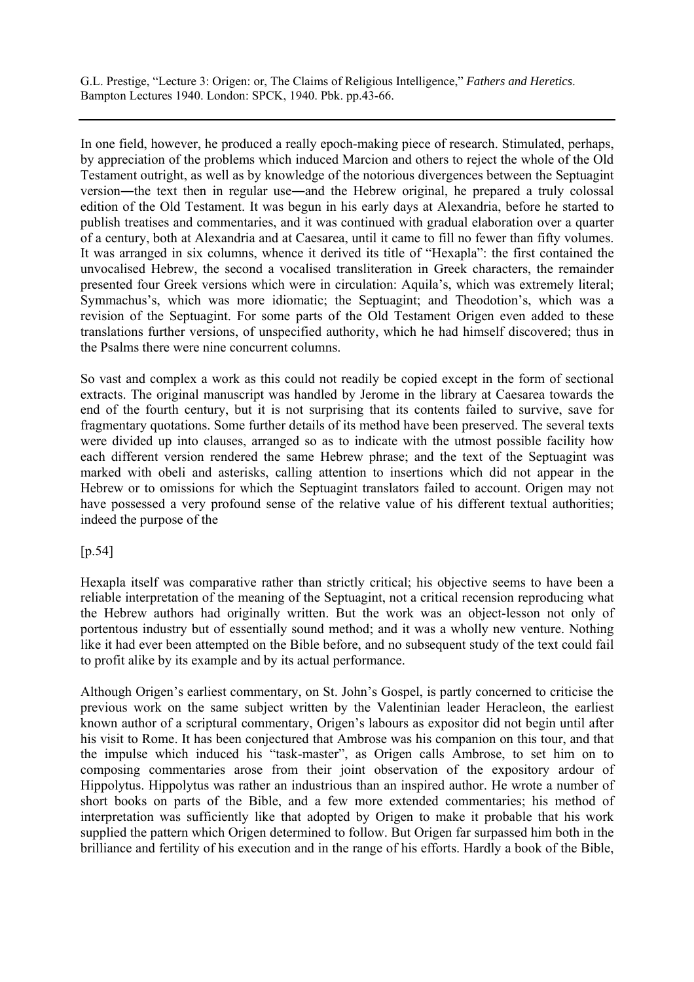In one field, however, he produced a really epoch-making piece of research. Stimulated, perhaps, by appreciation of the problems which induced Marcion and others to reject the whole of the Old Testament outright, as well as by knowledge of the notorious divergences between the Septuagint version―the text then in regular use―and the Hebrew original, he prepared a truly colossal edition of the Old Testament. It was begun in his early days at Alexandria, before he started to publish treatises and commentaries, and it was continued with gradual elaboration over a quarter of a century, both at Alexandria and at Caesarea, until it came to fill no fewer than fifty volumes. It was arranged in six columns, whence it derived its title of "Hexapla": the first contained the unvocalised Hebrew, the second a vocalised transliteration in Greek characters, the remainder presented four Greek versions which were in circulation: Aquila's, which was extremely literal; Symmachus's, which was more idiomatic; the Septuagint; and Theodotion's, which was a revision of the Septuagint. For some parts of the Old Testament Origen even added to these translations further versions, of unspecified authority, which he had himself discovered; thus in the Psalms there were nine concurrent columns.

So vast and complex a work as this could not readily be copied except in the form of sectional extracts. The original manuscript was handled by Jerome in the library at Caesarea towards the end of the fourth century, but it is not surprising that its contents failed to survive, save for fragmentary quotations. Some further details of its method have been preserved. The several texts were divided up into clauses, arranged so as to indicate with the utmost possible facility how each different version rendered the same Hebrew phrase; and the text of the Septuagint was marked with obeli and asterisks, calling attention to insertions which did not appear in the Hebrew or to omissions for which the Septuagint translators failed to account. Origen may not have possessed a very profound sense of the relative value of his different textual authorities; indeed the purpose of the

## [p.54]

Hexapla itself was comparative rather than strictly critical; his objective seems to have been a reliable interpretation of the meaning of the Septuagint, not a critical recension reproducing what the Hebrew authors had originally written. But the work was an object-lesson not only of portentous industry but of essentially sound method; and it was a wholly new venture. Nothing like it had ever been attempted on the Bible before, and no subsequent study of the text could fail to profit alike by its example and by its actual performance.

Although Origen's earliest commentary, on St. John's Gospel, is partly concerned to criticise the previous work on the same subject written by the Valentinian leader Heracleon, the earliest known author of a scriptural commentary, Origen's labours as expositor did not begin until after his visit to Rome. It has been conjectured that Ambrose was his companion on this tour, and that the impulse which induced his "task-master", as Origen calls Ambrose, to set him on to composing commentaries arose from their joint observation of the expository ardour of Hippolytus. Hippolytus was rather an industrious than an inspired author. He wrote a number of short books on parts of the Bible, and a few more extended commentaries; his method of interpretation was sufficiently like that adopted by Origen to make it probable that his work supplied the pattern which Origen determined to follow. But Origen far surpassed him both in the brilliance and fertility of his execution and in the range of his efforts. Hardly a book of the Bible,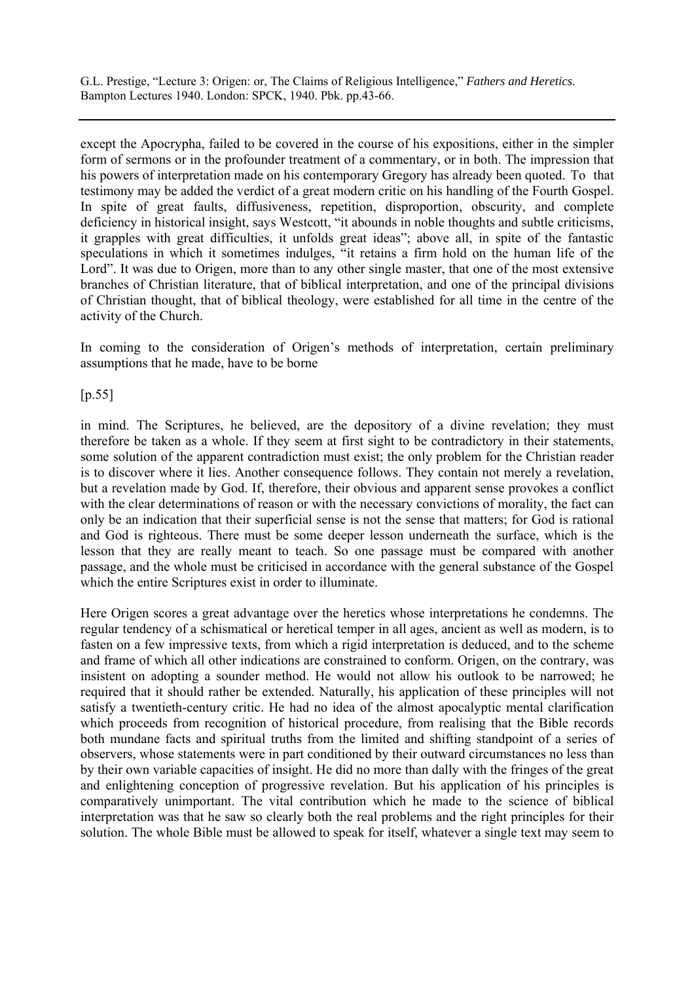except the Apocrypha, failed to be covered in the course of his expositions, either in the simpler form of sermons or in the profounder treatment of a commentary, or in both. The impression that his powers of interpretation made on his contemporary Gregory has already been quoted. To that testimony may be added the verdict of a great modern critic on his handling of the Fourth Gospel. In spite of great faults, diffusiveness, repetition, disproportion, obscurity, and complete deficiency in historical insight, says Westcott, "it abounds in noble thoughts and subtle criticisms, it grapples with great difficulties, it unfolds great ideas"; above all, in spite of the fantastic speculations in which it sometimes indulges, "it retains a firm hold on the human life of the Lord". It was due to Origen, more than to any other single master, that one of the most extensive branches of Christian literature, that of biblical interpretation, and one of the principal divisions of Christian thought, that of biblical theology, were established for all time in the centre of the activity of the Church.

In coming to the consideration of Origen's methods of interpretation, certain preliminary assumptions that he made, have to be borne

 $[p.55]$ 

in mind. The Scriptures, he believed, are the depository of a divine revelation; they must therefore be taken as a whole. If they seem at first sight to be contradictory in their statements, some solution of the apparent contradiction must exist; the only problem for the Christian reader is to discover where it lies. Another consequence follows. They contain not merely a revelation, but a revelation made by God. If, therefore, their obvious and apparent sense provokes a conflict with the clear determinations of reason or with the necessary convictions of morality, the fact can only be an indication that their superficial sense is not the sense that matters; for God is rational and God is righteous. There must be some deeper lesson underneath the surface, which is the lesson that they are really meant to teach. So one passage must be compared with another passage, and the whole must be criticised in accordance with the general substance of the Gospel which the entire Scriptures exist in order to illuminate.

Here Origen scores a great advantage over the heretics whose interpretations he condemns. The regular tendency of a schismatical or heretical temper in all ages, ancient as well as modern, is to fasten on a few impressive texts, from which a rigid interpretation is deduced, and to the scheme and frame of which all other indications are constrained to conform. Origen, on the contrary, was insistent on adopting a sounder method. He would not allow his outlook to be narrowed; he required that it should rather be extended. Naturally, his application of these principles will not satisfy a twentieth-century critic. He had no idea of the almost apocalyptic mental clarification which proceeds from recognition of historical procedure, from realising that the Bible records both mundane facts and spiritual truths from the limited and shifting standpoint of a series of observers, whose statements were in part conditioned by their outward circumstances no less than by their own variable capacities of insight. He did no more than dally with the fringes of the great and enlightening conception of progressive revelation. But his application of his principles is comparatively unimportant. The vital contribution which he made to the science of biblical interpretation was that he saw so clearly both the real problems and the right principles for their solution. The whole Bible must be allowed to speak for itself, whatever a single text may seem to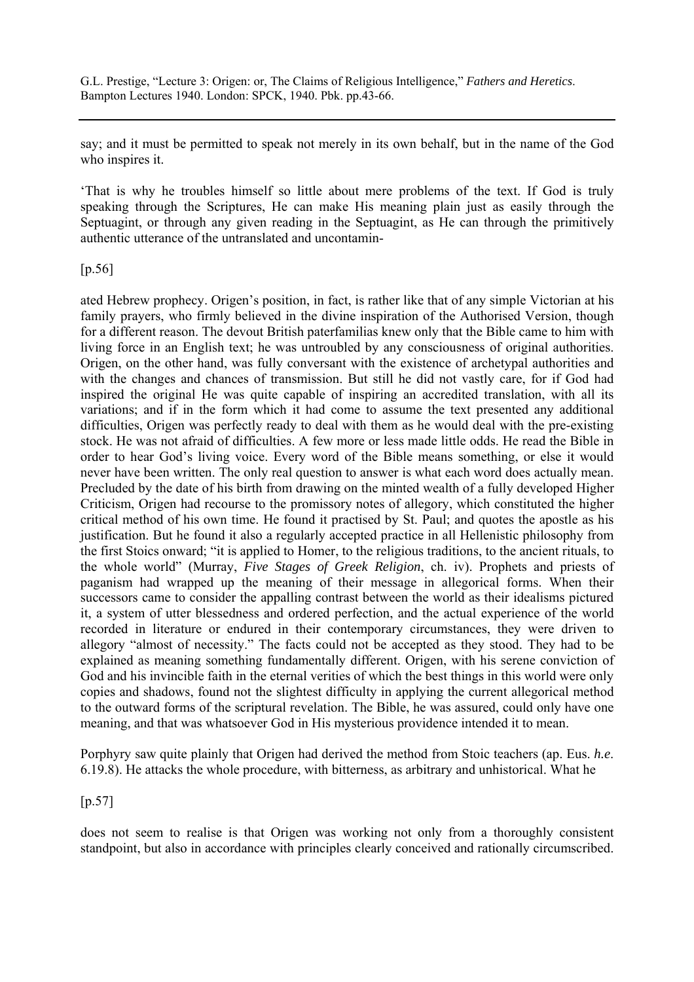say; and it must be permitted to speak not merely in its own behalf, but in the name of the God who inspires it.

'That is why he troubles himself so little about mere problems of the text. If God is truly speaking through the Scriptures, He can make His meaning plain just as easily through the Septuagint, or through any given reading in the Septuagint, as He can through the primitively authentic utterance of the untranslated and uncontamin-

[p.56]

ated Hebrew prophecy. Origen's position, in fact, is rather like that of any simple Victorian at his family prayers, who firmly believed in the divine inspiration of the Authorised Version, though for a different reason. The devout British paterfamilias knew only that the Bible came to him with living force in an English text; he was untroubled by any consciousness of original authorities. Origen, on the other hand, was fully conversant with the existence of archetypal authorities and with the changes and chances of transmission. But still he did not vastly care, for if God had inspired the original He was quite capable of inspiring an accredited translation, with all its variations; and if in the form which it had come to assume the text presented any additional difficulties, Origen was perfectly ready to deal with them as he would deal with the pre-existing stock. He was not afraid of difficulties. A few more or less made little odds. He read the Bible in order to hear God's living voice. Every word of the Bible means something, or else it would never have been written. The only real question to answer is what each word does actually mean. Precluded by the date of his birth from drawing on the minted wealth of a fully developed Higher Criticism, Origen had recourse to the promissory notes of allegory, which constituted the higher critical method of his own time. He found it practised by St. Paul; and quotes the apostle as his justification. But he found it also a regularly accepted practice in all Hellenistic philosophy from the first Stoics onward; "it is applied to Homer, to the religious traditions, to the ancient rituals, to the whole world" (Murray, *Five Stages of Greek Religion*, ch. iv). Prophets and priests of paganism had wrapped up the meaning of their message in allegorical forms. When their successors came to consider the appalling contrast between the world as their idealisms pictured it, a system of utter blessedness and ordered perfection, and the actual experience of the world recorded in literature or endured in their contemporary circumstances, they were driven to allegory "almost of necessity." The facts could not be accepted as they stood. They had to be explained as meaning something fundamentally different. Origen, with his serene conviction of God and his invincible faith in the eternal verities of which the best things in this world were only copies and shadows, found not the slightest difficulty in applying the current allegorical method to the outward forms of the scriptural revelation. The Bible, he was assured, could only have one meaning, and that was whatsoever God in His mysterious providence intended it to mean.

Porphyry saw quite plainly that Origen had derived the method from Stoic teachers (ap. Eus. *h.e*. 6.19.8). He attacks the whole procedure, with bitterness, as arbitrary and unhistorical. What he

 $[p.57]$ 

does not seem to realise is that Origen was working not only from a thoroughly consistent standpoint, but also in accordance with principles clearly conceived and rationally circumscribed.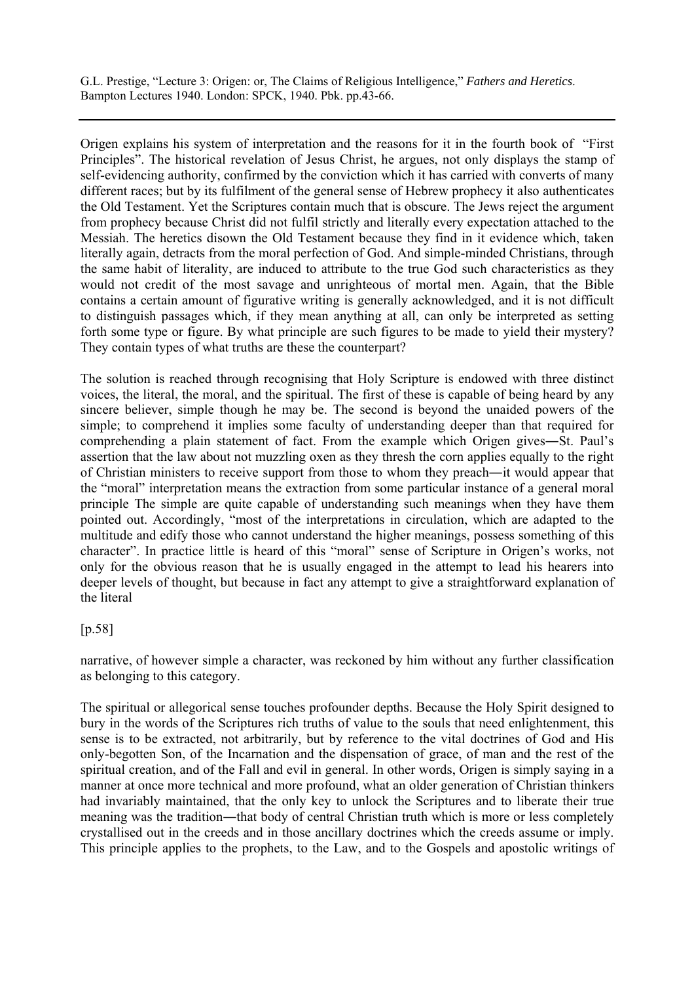Origen explains his system of interpretation and the reasons for it in the fourth book of "First Principles". The historical revelation of Jesus Christ, he argues, not only displays the stamp of self-evidencing authority, confirmed by the conviction which it has carried with converts of many different races; but by its fulfilment of the general sense of Hebrew prophecy it also authenticates the Old Testament. Yet the Scriptures contain much that is obscure. The Jews reject the argument from prophecy because Christ did not fulfil strictly and literally every expectation attached to the Messiah. The heretics disown the Old Testament because they find in it evidence which, taken literally again, detracts from the moral perfection of God. And simple-minded Christians, through the same habit of literality, are induced to attribute to the true God such characteristics as they would not credit of the most savage and unrighteous of mortal men. Again, that the Bible contains a certain amount of figurative writing is generally acknowledged, and it is not difficult to distinguish passages which, if they mean anything at all, can only be interpreted as setting forth some type or figure. By what principle are such figures to be made to yield their mystery? They contain types of what truths are these the counterpart?

The solution is reached through recognising that Holy Scripture is endowed with three distinct voices, the literal, the moral, and the spiritual. The first of these is capable of being heard by any sincere believer, simple though he may be. The second is beyond the unaided powers of the simple; to comprehend it implies some faculty of understanding deeper than that required for comprehending a plain statement of fact. From the example which Origen gives―St. Paul's assertion that the law about not muzzling oxen as they thresh the corn applies equally to the right of Christian ministers to receive support from those to whom they preach―it would appear that the "moral" interpretation means the extraction from some particular instance of a general moral principle The simple are quite capable of understanding such meanings when they have them pointed out. Accordingly, "most of the interpretations in circulation, which are adapted to the multitude and edify those who cannot understand the higher meanings, possess something of this character". In practice little is heard of this "moral" sense of Scripture in Origen's works, not only for the obvious reason that he is usually engaged in the attempt to lead his hearers into deeper levels of thought, but because in fact any attempt to give a straightforward explanation of the literal

## [p.58]

narrative, of however simple a character, was reckoned by him without any further classification as belonging to this category.

The spiritual or allegorical sense touches profounder depths. Because the Holy Spirit designed to bury in the words of the Scriptures rich truths of value to the souls that need enlightenment, this sense is to be extracted, not arbitrarily, but by reference to the vital doctrines of God and His only-begotten Son, of the Incarnation and the dispensation of grace, of man and the rest of the spiritual creation, and of the Fall and evil in general. In other words, Origen is simply saying in a manner at once more technical and more profound, what an older generation of Christian thinkers had invariably maintained, that the only key to unlock the Scriptures and to liberate their true meaning was the tradition—that body of central Christian truth which is more or less completely crystallised out in the creeds and in those ancillary doctrines which the creeds assume or imply. This principle applies to the prophets, to the Law, and to the Gospels and apostolic writings of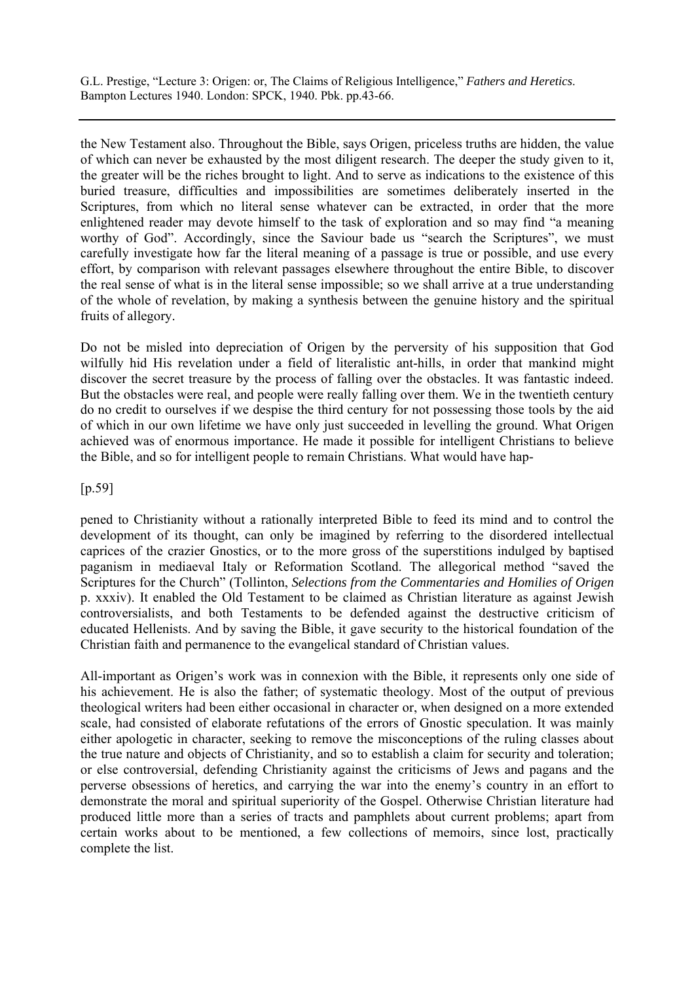the New Testament also. Throughout the Bible, says Origen, priceless truths are hidden, the value of which can never be exhausted by the most diligent research. The deeper the study given to it, the greater will be the riches brought to light. And to serve as indications to the existence of this buried treasure, difficulties and impossibilities are sometimes deliberately inserted in the Scriptures, from which no literal sense whatever can be extracted, in order that the more enlightened reader may devote himself to the task of exploration and so may find "a meaning worthy of God". Accordingly, since the Saviour bade us "search the Scriptures", we must carefully investigate how far the literal meaning of a passage is true or possible, and use every effort, by comparison with relevant passages elsewhere throughout the entire Bible, to discover the real sense of what is in the literal sense impossible; so we shall arrive at a true understanding of the whole of revelation, by making a synthesis between the genuine history and the spiritual fruits of allegory.

Do not be misled into depreciation of Origen by the perversity of his supposition that God wilfully hid His revelation under a field of literalistic ant-hills, in order that mankind might discover the secret treasure by the process of falling over the obstacles. It was fantastic indeed. But the obstacles were real, and people were really falling over them. We in the twentieth century do no credit to ourselves if we despise the third century for not possessing those tools by the aid of which in our own lifetime we have only just succeeded in levelling the ground. What Origen achieved was of enormous importance. He made it possible for intelligent Christians to believe the Bible, and so for intelligent people to remain Christians. What would have hap-

#### [p.59]

pened to Christianity without a rationally interpreted Bible to feed its mind and to control the development of its thought, can only be imagined by referring to the disordered intellectual caprices of the crazier Gnostics, or to the more gross of the superstitions indulged by baptised paganism in mediaeval Italy or Reformation Scotland. The allegorical method "saved the Scriptures for the Church" (Tollinton, *Selections from the Commentaries and Homilies of Origen* p. xxxiv). It enabled the Old Testament to be claimed as Christian literature as against Jewish controversialists, and both Testaments to be defended against the destructive criticism of educated Hellenists. And by saving the Bible, it gave security to the historical foundation of the Christian faith and permanence to the evangelical standard of Christian values.

All-important as Origen's work was in connexion with the Bible, it represents only one side of his achievement. He is also the father; of systematic theology. Most of the output of previous theological writers had been either occasional in character or, when designed on a more extended scale, had consisted of elaborate refutations of the errors of Gnostic speculation. It was mainly either apologetic in character, seeking to remove the misconceptions of the ruling classes about the true nature and objects of Christianity, and so to establish a claim for security and toleration; or else controversial, defending Christianity against the criticisms of Jews and pagans and the perverse obsessions of heretics, and carrying the war into the enemy's country in an effort to demonstrate the moral and spiritual superiority of the Gospel. Otherwise Christian literature had produced little more than a series of tracts and pamphlets about current problems; apart from certain works about to be mentioned, a few collections of memoirs, since lost, practically complete the list.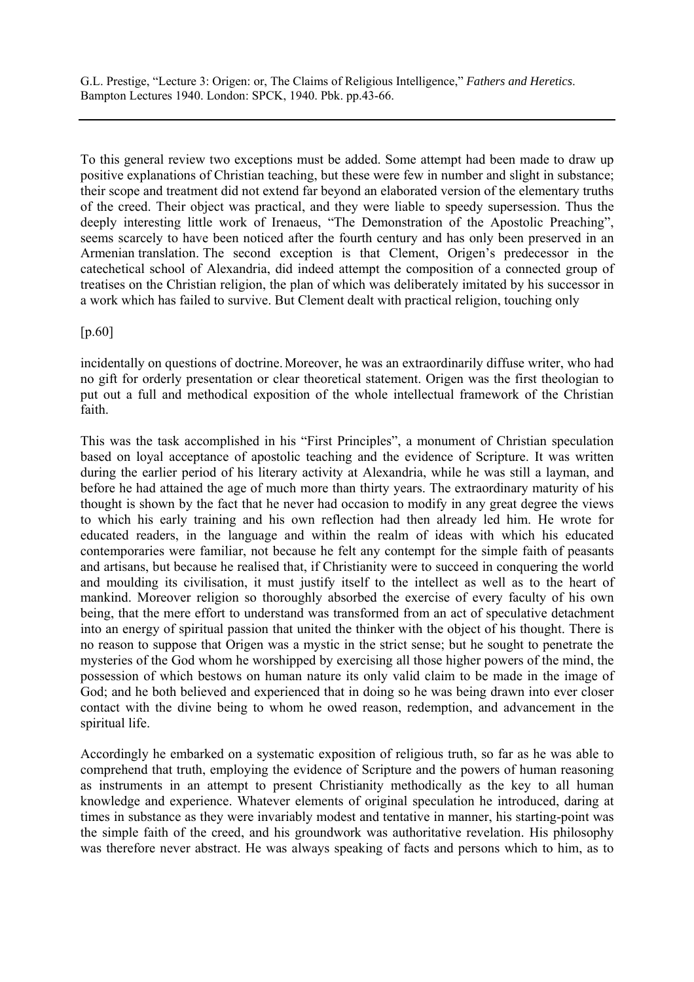To this general review two exceptions must be added. Some attempt had been made to draw up positive explanations of Christian teaching, but these were few in number and slight in substance; their scope and treatment did not extend far beyond an elaborated version of the elementary truths of the creed. Their object was practical, and they were liable to speedy supersession. Thus the deeply interesting little work of Irenaeus, "The Demonstration of the Apostolic Preaching", seems scarcely to have been noticed after the fourth century and has only been preserved in an Armenian translation. The second exception is that Clement, Origen's predecessor in the catechetical school of Alexandria, did indeed attempt the composition of a connected group of treatises on the Christian religion, the plan of which was deliberately imitated by his successor in a work which has failed to survive. But Clement dealt with practical religion, touching only

[p.60]

incidentally on questions of doctrine. Moreover, he was an extraordinarily diffuse writer, who had no gift for orderly presentation or clear theoretical statement. Origen was the first theologian to put out a full and methodical exposition of the whole intellectual framework of the Christian faith.

This was the task accomplished in his "First Principles", a monument of Christian speculation based on loyal acceptance of apostolic teaching and the evidence of Scripture. It was written during the earlier period of his literary activity at Alexandria, while he was still a layman, and before he had attained the age of much more than thirty years. The extraordinary maturity of his thought is shown by the fact that he never had occasion to modify in any great degree the views to which his early training and his own reflection had then already led him. He wrote for educated readers, in the language and within the realm of ideas with which his educated contemporaries were familiar, not because he felt any contempt for the simple faith of peasants and artisans, but because he realised that, if Christianity were to succeed in conquering the world and moulding its civilisation, it must justify itself to the intellect as well as to the heart of mankind. Moreover religion so thoroughly absorbed the exercise of every faculty of his own being, that the mere effort to understand was transformed from an act of speculative detachment into an energy of spiritual passion that united the thinker with the object of his thought. There is no reason to suppose that Origen was a mystic in the strict sense; but he sought to penetrate the mysteries of the God whom he worshipped by exercising all those higher powers of the mind, the possession of which bestows on human nature its only valid claim to be made in the image of God; and he both believed and experienced that in doing so he was being drawn into ever closer contact with the divine being to whom he owed reason, redemption, and advancement in the spiritual life.

Accordingly he embarked on a systematic exposition of religious truth, so far as he was able to comprehend that truth, employing the evidence of Scripture and the powers of human reasoning as instruments in an attempt to present Christianity methodically as the key to all human knowledge and experience. Whatever elements of original speculation he introduced, daring at times in substance as they were invariably modest and tentative in manner, his starting-point was the simple faith of the creed, and his groundwork was authoritative revelation. His philosophy was therefore never abstract. He was always speaking of facts and persons which to him, as to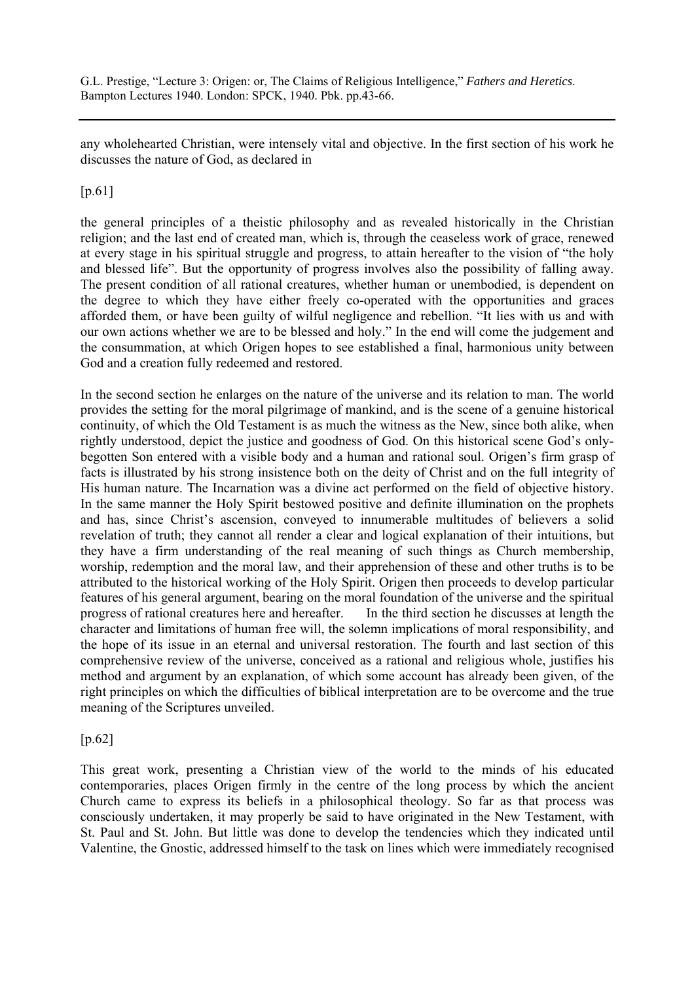any wholehearted Christian, were intensely vital and objective. In the first section of his work he discusses the nature of God, as declared in

## $[p.61]$

the general principles of a theistic philosophy and as revealed historically in the Christian religion; and the last end of created man, which is, through the ceaseless work of grace, renewed at every stage in his spiritual struggle and progress, to attain hereafter to the vision of "the holy and blessed life". But the opportunity of progress involves also the possibility of falling away. The present condition of all rational creatures, whether human or unembodied, is dependent on the degree to which they have either freely co-operated with the opportunities and graces afforded them, or have been guilty of wilful negligence and rebellion. "It lies with us and with our own actions whether we are to be blessed and holy." In the end will come the judgement and the consummation, at which Origen hopes to see established a final, harmonious unity between God and a creation fully redeemed and restored.

In the second section he enlarges on the nature of the universe and its relation to man. The world provides the setting for the moral pilgrimage of mankind, and is the scene of a genuine historical continuity, of which the Old Testament is as much the witness as the New, since both alike, when rightly understood, depict the justice and goodness of God. On this historical scene God's onlybegotten Son entered with a visible body and a human and rational soul. Origen's firm grasp of facts is illustrated by his strong insistence both on the deity of Christ and on the full integrity of His human nature. The Incarnation was a divine act performed on the field of objective history. In the same manner the Holy Spirit bestowed positive and definite illumination on the prophets and has, since Christ's ascension, conveyed to innumerable multitudes of believers a solid revelation of truth; they cannot all render a clear and logical explanation of their intuitions, but they have a firm understanding of the real meaning of such things as Church membership, worship, redemption and the moral law, and their apprehension of these and other truths is to be attributed to the historical working of the Holy Spirit. Origen then proceeds to develop particular features of his general argument, bearing on the moral foundation of the universe and the spiritual progress of rational creatures here and hereafter. In the third section he discusses at length the character and limitations of human free will, the solemn implications of moral responsibility, and the hope of its issue in an eternal and universal restoration. The fourth and last section of this comprehensive review of the universe, conceived as a rational and religious whole, justifies his method and argument by an explanation, of which some account has already been given, of the right principles on which the difficulties of biblical interpretation are to be overcome and the true meaning of the Scriptures unveiled.

## [p.62]

This great work, presenting a Christian view of the world to the minds of his educated contemporaries, places Origen firmly in the centre of the long process by which the ancient Church came to express its beliefs in a philosophical theology. So far as that process was consciously undertaken, it may properly be said to have originated in the New Testament, with St. Paul and St. John. But little was done to develop the tendencies which they indicated until Valentine, the Gnostic, addressed himself to the task on lines which were immediately recognised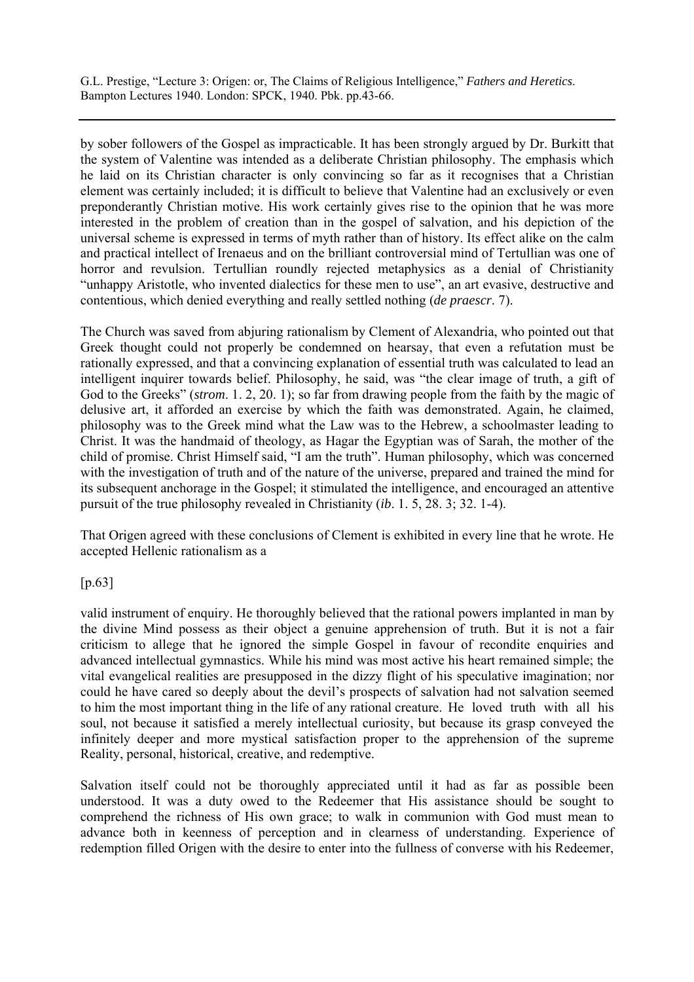by sober followers of the Gospel as impracticable. It has been strongly argued by Dr. Burkitt that the system of Valentine was intended as a deliberate Christian philosophy. The emphasis which he laid on its Christian character is only convincing so far as it recognises that a Christian element was certainly included; it is difficult to believe that Valentine had an exclusively or even preponderantly Christian motive. His work certainly gives rise to the opinion that he was more interested in the problem of creation than in the gospel of salvation, and his depiction of the universal scheme is expressed in terms of myth rather than of history. Its effect alike on the calm and practical intellect of Irenaeus and on the brilliant controversial mind of Tertullian was one of horror and revulsion. Tertullian roundly rejected metaphysics as a denial of Christianity "unhappy Aristotle, who invented dialectics for these men to use", an art evasive, destructive and contentious, which denied everything and really settled nothing (*de praescr*. 7).

The Church was saved from abjuring rationalism by Clement of Alexandria, who pointed out that Greek thought could not properly be condemned on hearsay, that even a refutation must be rationally expressed, and that a convincing explanation of essential truth was calculated to lead an intelligent inquirer towards belief. Philosophy, he said, was "the clear image of truth, a gift of God to the Greeks" (*strom*. 1. 2, 20. 1); so far from drawing people from the faith by the magic of delusive art, it afforded an exercise by which the faith was demonstrated. Again, he claimed, philosophy was to the Greek mind what the Law was to the Hebrew, a schoolmaster leading to Christ. It was the handmaid of theology, as Hagar the Egyptian was of Sarah, the mother of the child of promise. Christ Himself said, "I am the truth". Human philosophy, which was concerned with the investigation of truth and of the nature of the universe, prepared and trained the mind for its subsequent anchorage in the Gospel; it stimulated the intelligence, and encouraged an attentive pursuit of the true philosophy revealed in Christianity (*ib*. 1. 5, 28. 3; 32. 1-4).

That Origen agreed with these conclusions of Clement is exhibited in every line that he wrote. He accepted Hellenic rationalism as a

[p.63]

valid instrument of enquiry. He thoroughly believed that the rational powers implanted in man by the divine Mind possess as their object a genuine apprehension of truth. But it is not a fair criticism to allege that he ignored the simple Gospel in favour of recondite enquiries and advanced intellectual gymnastics. While his mind was most active his heart remained simple; the vital evangelical realities are presupposed in the dizzy flight of his speculative imagination; nor could he have cared so deeply about the devil's prospects of salvation had not salvation seemed to him the most important thing in the life of any rational creature. He loved truth with all his soul, not because it satisfied a merely intellectual curiosity, but because its grasp conveyed the infinitely deeper and more mystical satisfaction proper to the apprehension of the supreme Reality, personal, historical, creative, and redemptive.

Salvation itself could not be thoroughly appreciated until it had as far as possible been understood. It was a duty owed to the Redeemer that His assistance should be sought to comprehend the richness of His own grace; to walk in communion with God must mean to advance both in keenness of perception and in clearness of understanding. Experience of redemption filled Origen with the desire to enter into the fullness of converse with his Redeemer,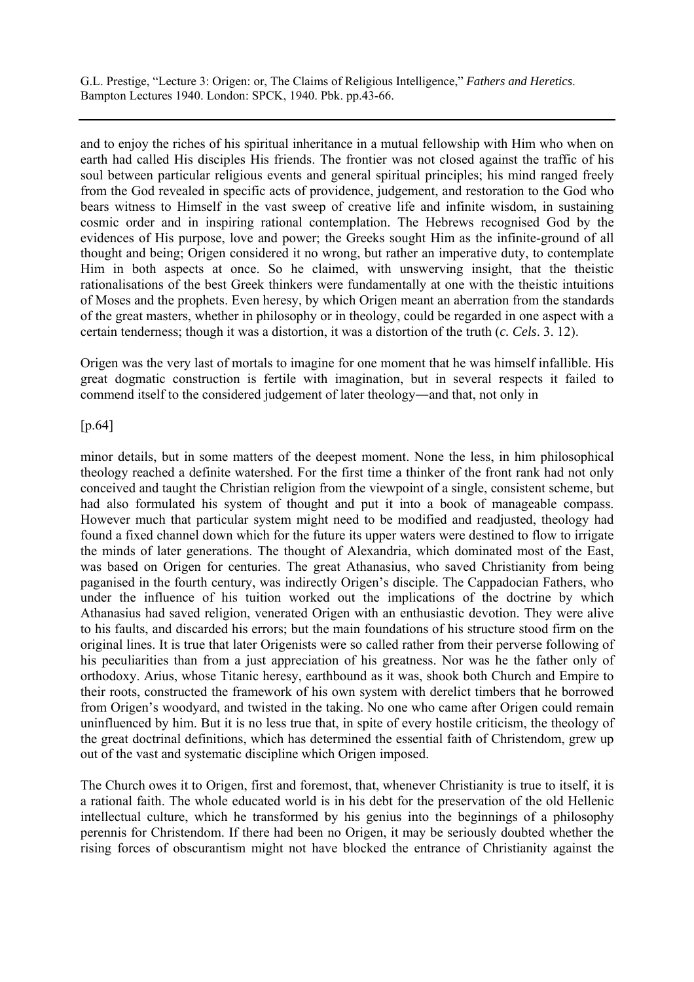and to enjoy the riches of his spiritual inheritance in a mutual fellowship with Him who when on earth had called His disciples His friends. The frontier was not closed against the traffic of his soul between particular religious events and general spiritual principles; his mind ranged freely from the God revealed in specific acts of providence, judgement, and restoration to the God who bears witness to Himself in the vast sweep of creative life and infinite wisdom, in sustaining cosmic order and in inspiring rational contemplation. The Hebrews recognised God by the evidences of His purpose, love and power; the Greeks sought Him as the infinite-ground of all thought and being; Origen considered it no wrong, but rather an imperative duty, to contemplate Him in both aspects at once. So he claimed, with unswerving insight, that the theistic rationalisations of the best Greek thinkers were fundamentally at one with the theistic intuitions of Moses and the prophets. Even heresy, by which Origen meant an aberration from the standards of the great masters, whether in philosophy or in theology, could be regarded in one aspect with a certain tenderness; though it was a distortion, it was a distortion of the truth (*c. Cels*. 3. 12).

Origen was the very last of mortals to imagine for one moment that he was himself infallible. His great dogmatic construction is fertile with imagination, but in several respects it failed to commend itself to the considered judgement of later theology―and that, not only in

[p.64]

minor details, but in some matters of the deepest moment. None the less, in him philosophical theology reached a definite watershed. For the first time a thinker of the front rank had not only conceived and taught the Christian religion from the viewpoint of a single, consistent scheme, but had also formulated his system of thought and put it into a book of manageable compass. However much that particular system might need to be modified and readjusted, theology had found a fixed channel down which for the future its upper waters were destined to flow to irrigate the minds of later generations. The thought of Alexandria, which dominated most of the East, was based on Origen for centuries. The great Athanasius, who saved Christianity from being paganised in the fourth century, was indirectly Origen's disciple. The Cappadocian Fathers, who under the influence of his tuition worked out the implications of the doctrine by which Athanasius had saved religion, venerated Origen with an enthusiastic devotion. They were alive to his faults, and discarded his errors; but the main foundations of his structure stood firm on the original lines. It is true that later Origenists were so called rather from their perverse following of his peculiarities than from a just appreciation of his greatness. Nor was he the father only of orthodoxy. Arius, whose Titanic heresy, earthbound as it was, shook both Church and Empire to their roots, constructed the framework of his own system with derelict timbers that he borrowed from Origen's woodyard, and twisted in the taking. No one who came after Origen could remain uninfluenced by him. But it is no less true that, in spite of every hostile criticism, the theology of the great doctrinal definitions, which has determined the essential faith of Christendom, grew up out of the vast and systematic discipline which Origen imposed.

The Church owes it to Origen, first and foremost, that, whenever Christianity is true to itself, it is a rational faith. The whole educated world is in his debt for the preservation of the old Hellenic intellectual culture, which he transformed by his genius into the beginnings of a philosophy perennis for Christendom. If there had been no Origen, it may be seriously doubted whether the rising forces of obscurantism might not have blocked the entrance of Christianity against the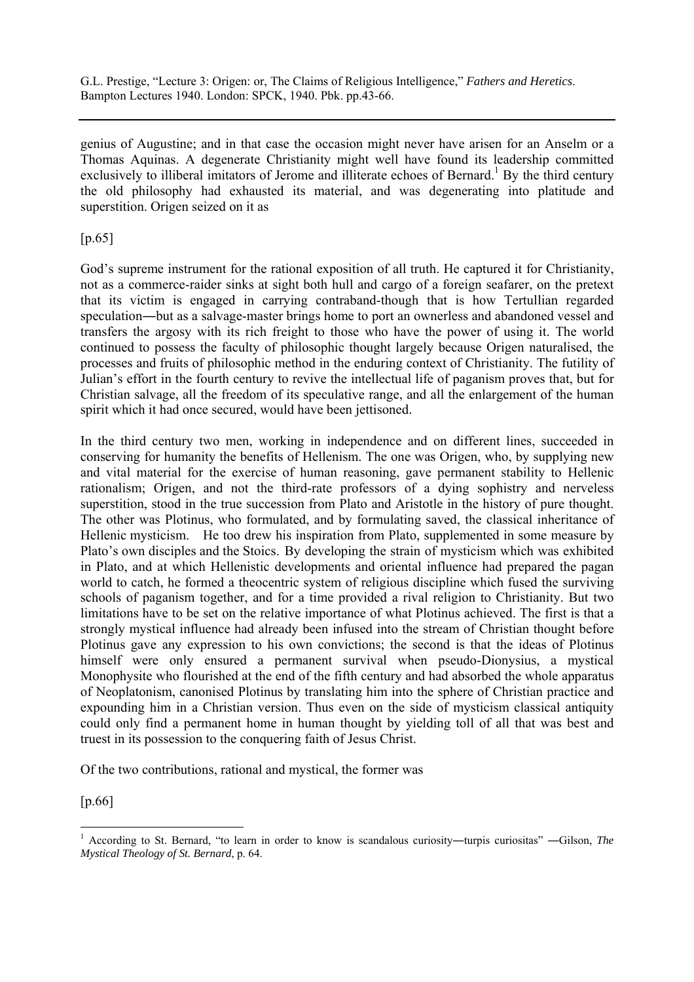genius of Augustine; and in that case the occasion might never have arisen for an Anselm or a Thomas Aquinas. A degenerate Christianity might well have found its leadership committed exclusively to illiberal imitators of Jerome and illiterate echoes of Bernard.<sup>1</sup> By the third century the old philosophy had exhausted its material, and was degenerating into platitude and superstition. Origen seized on it as

 $[p.65]$ 

God's supreme instrument for the rational exposition of all truth. He captured it for Christianity, not as a commerce-raider sinks at sight both hull and cargo of a foreign seafarer, on the pretext that its victim is engaged in carrying contraband-though that is how Tertullian regarded speculation―but as a salvage-master brings home to port an ownerless and abandoned vessel and transfers the argosy with its rich freight to those who have the power of using it. The world continued to possess the faculty of philosophic thought largely because Origen naturalised, the processes and fruits of philosophic method in the enduring context of Christianity. The futility of Julian's effort in the fourth century to revive the intellectual life of paganism proves that, but for Christian salvage, all the freedom of its speculative range, and all the enlargement of the human spirit which it had once secured, would have been jettisoned.

In the third century two men, working in independence and on different lines, succeeded in conserving for humanity the benefits of Hellenism. The one was Origen, who, by supplying new and vital material for the exercise of human reasoning, gave permanent stability to Hellenic rationalism; Origen, and not the third-rate professors of a dying sophistry and nerveless superstition, stood in the true succession from Plato and Aristotle in the history of pure thought. The other was Plotinus, who formulated, and by formulating saved, the classical inheritance of Hellenic mysticism. He too drew his inspiration from Plato, supplemented in some measure by Plato's own disciples and the Stoics. By developing the strain of mysticism which was exhibited in Plato, and at which Hellenistic developments and oriental influence had prepared the pagan world to catch, he formed a theocentric system of religious discipline which fused the surviving schools of paganism together, and for a time provided a rival religion to Christianity. But two limitations have to be set on the relative importance of what Plotinus achieved. The first is that a strongly mystical influence had already been infused into the stream of Christian thought before Plotinus gave any expression to his own convictions; the second is that the ideas of Plotinus himself were only ensured a permanent survival when pseudo-Dionysius, a mystical Monophysite who flourished at the end of the fifth century and had absorbed the whole apparatus of Neoplatonism, canonised Plotinus by translating him into the sphere of Christian practice and expounding him in a Christian version. Thus even on the side of mysticism classical antiquity could only find a permanent home in human thought by yielding toll of all that was best and truest in its possession to the conquering faith of Jesus Christ.

Of the two contributions, rational and mystical, the former was

[p.66]

 1 According to St. Bernard, "to learn in order to know is scandalous curiosity―turpis curiositas" ―Gilson, *The Mystical Theology of St. Bernard*, p. 64.